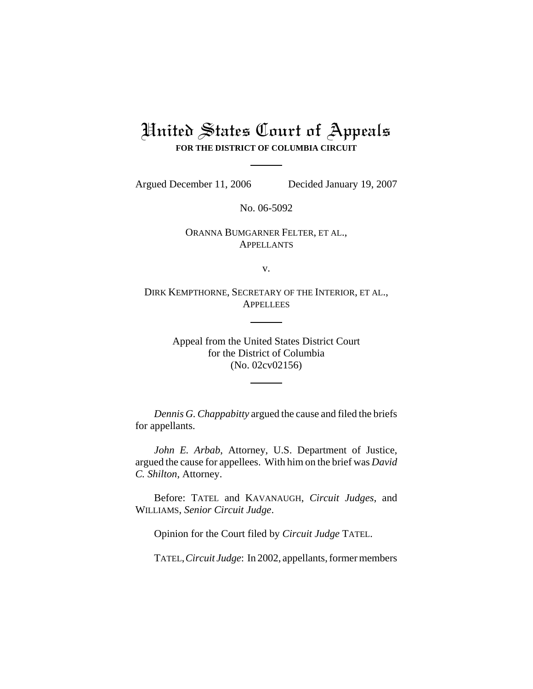# United States Court of Appeals **FOR THE DISTRICT OF COLUMBIA CIRCUIT**

Argued December 11, 2006 Decided January 19, 2007

No. 06-5092

# ORANNA BUMGARNER FELTER, ET AL., APPELLANTS

v.

DIRK KEMPTHORNE, SECRETARY OF THE INTERIOR, ET AL., **APPELLEES** 

> Appeal from the United States District Court for the District of Columbia (No. 02cv02156)

*Dennis G. Chappabitty* argued the cause and filed the briefs for appellants.

*John E. Arbab*, Attorney, U.S. Department of Justice, argued the cause for appellees. With him on the brief was *David C. Shilton*, Attorney.

Before: TATEL and KAVANAUGH, *Circuit Judges*, and WILLIAMS, *Senior Circuit Judge*.

Opinion for the Court filed by *Circuit Judge* TATEL.

TATEL,*Circuit Judge*: In 2002, appellants, former members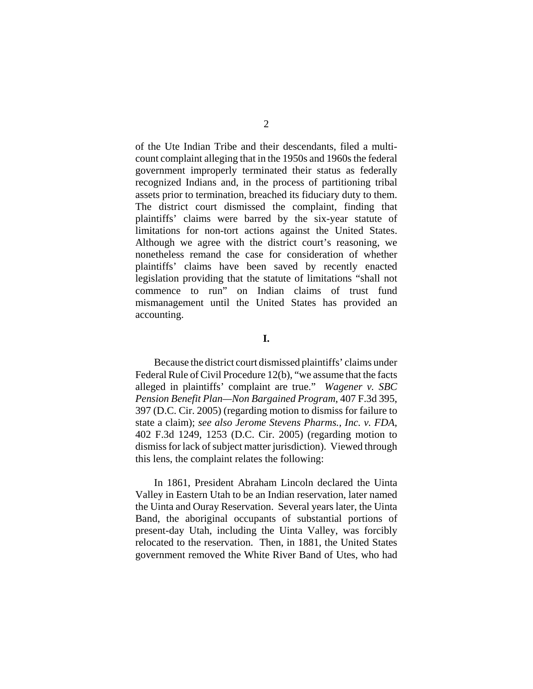of the Ute Indian Tribe and their descendants, filed a multicount complaint alleging that in the 1950s and 1960s the federal government improperly terminated their status as federally recognized Indians and, in the process of partitioning tribal assets prior to termination, breached its fiduciary duty to them. The district court dismissed the complaint, finding that plaintiffs' claims were barred by the six-year statute of limitations for non-tort actions against the United States. Although we agree with the district court's reasoning, we nonetheless remand the case for consideration of whether plaintiffs' claims have been saved by recently enacted legislation providing that the statute of limitations "shall not commence to run" on Indian claims of trust fund mismanagement until the United States has provided an accounting.

**I.**

Because the district court dismissed plaintiffs' claims under Federal Rule of Civil Procedure 12(b), "we assume that the facts alleged in plaintiffs' complaint are true." *Wagener v. SBC Pension Benefit Plan—Non Bargained Program*, 407 F.3d 395, 397 (D.C. Cir. 2005) (regarding motion to dismiss for failure to state a claim); *see also Jerome Stevens Pharms., Inc. v. FDA*, 402 F.3d 1249, 1253 (D.C. Cir. 2005) (regarding motion to dismiss for lack of subject matter jurisdiction). Viewed through this lens, the complaint relates the following:

In 1861, President Abraham Lincoln declared the Uinta Valley in Eastern Utah to be an Indian reservation, later named the Uinta and Ouray Reservation. Several years later, the Uinta Band, the aboriginal occupants of substantial portions of present-day Utah, including the Uinta Valley, was forcibly relocated to the reservation. Then, in 1881, the United States government removed the White River Band of Utes, who had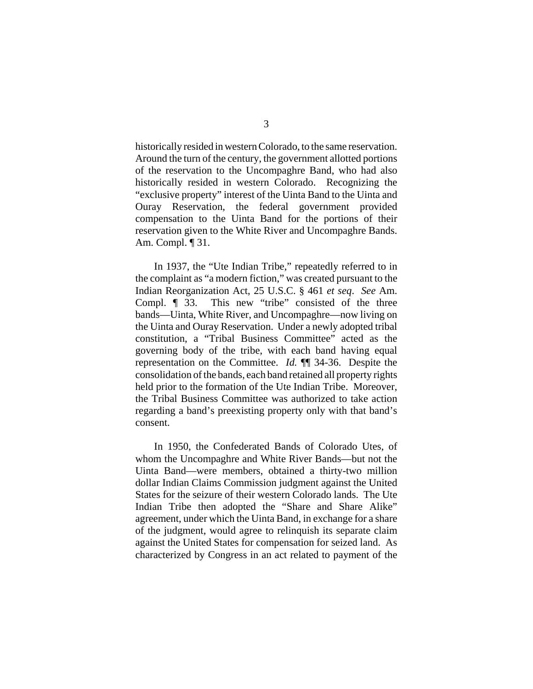historically resided in western Colorado, to the same reservation. Around the turn of the century, the government allotted portions of the reservation to the Uncompaghre Band, who had also historically resided in western Colorado. Recognizing the "exclusive property" interest of the Uinta Band to the Uinta and Ouray Reservation, the federal government provided compensation to the Uinta Band for the portions of their reservation given to the White River and Uncompaghre Bands. Am. Compl. ¶ 31.

In 1937, the "Ute Indian Tribe," repeatedly referred to in the complaint as "a modern fiction," was created pursuant to the Indian Reorganization Act, 25 U.S.C. § 461 *et seq*. *See* Am. Compl. ¶ 33. This new "tribe" consisted of the three bands—Uinta, White River, and Uncompaghre—now living on the Uinta and Ouray Reservation. Under a newly adopted tribal constitution, a "Tribal Business Committee" acted as the governing body of the tribe, with each band having equal representation on the Committee. *Id.* ¶¶ 34-36. Despite the consolidation of the bands, each band retained all property rights held prior to the formation of the Ute Indian Tribe. Moreover, the Tribal Business Committee was authorized to take action regarding a band's preexisting property only with that band's consent.

In 1950, the Confederated Bands of Colorado Utes, of whom the Uncompaghre and White River Bands—but not the Uinta Band—were members, obtained a thirty-two million dollar Indian Claims Commission judgment against the United States for the seizure of their western Colorado lands. The Ute Indian Tribe then adopted the "Share and Share Alike" agreement, under which the Uinta Band, in exchange for a share of the judgment, would agree to relinquish its separate claim against the United States for compensation for seized land. As characterized by Congress in an act related to payment of the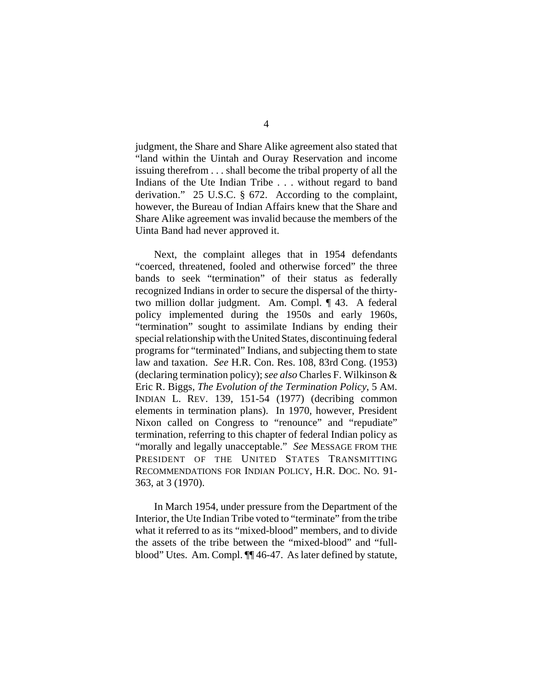judgment, the Share and Share Alike agreement also stated that "land within the Uintah and Ouray Reservation and income issuing therefrom . . . shall become the tribal property of all the Indians of the Ute Indian Tribe . . . without regard to band derivation." 25 U.S.C. § 672. According to the complaint, however, the Bureau of Indian Affairs knew that the Share and Share Alike agreement was invalid because the members of the Uinta Band had never approved it.

Next, the complaint alleges that in 1954 defendants "coerced, threatened, fooled and otherwise forced" the three bands to seek "termination" of their status as federally recognized Indians in order to secure the dispersal of the thirtytwo million dollar judgment. Am. Compl. ¶ 43. A federal policy implemented during the 1950s and early 1960s, "termination" sought to assimilate Indians by ending their special relationship with the United States, discontinuing federal programs for "terminated" Indians, and subjecting them to state law and taxation. *See* H.R. Con. Res. 108, 83rd Cong. (1953) (declaring termination policy); *see also* Charles F. Wilkinson & Eric R. Biggs, *The Evolution of the Termination Policy*, 5 AM. INDIAN L. REV. 139, 151-54 (1977) (decribing common elements in termination plans). In 1970, however, President Nixon called on Congress to "renounce" and "repudiate" termination, referring to this chapter of federal Indian policy as "morally and legally unacceptable." *See* MESSAGE FROM THE PRESIDENT OF THE UNITED STATES TRANSMITTING RECOMMENDATIONS FOR INDIAN POLICY, H.R. DOC. NO. 91- 363, at 3 (1970).

In March 1954, under pressure from the Department of the Interior, the Ute Indian Tribe voted to "terminate" from the tribe what it referred to as its "mixed-blood" members, and to divide the assets of the tribe between the "mixed-blood" and "fullblood" Utes. Am. Compl.  $\P$  46-47. As later defined by statute,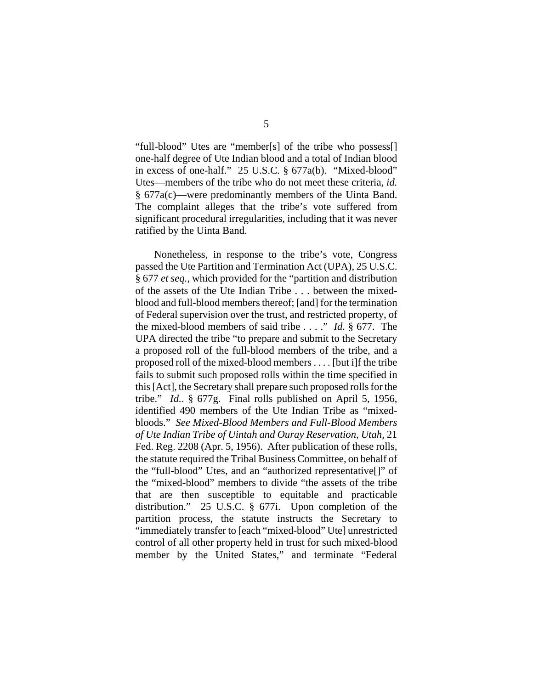"full-blood" Utes are "member[s] of the tribe who possess[] one-half degree of Ute Indian blood and a total of Indian blood in excess of one-half." 25 U.S.C. § 677a(b). "Mixed-blood" Utes—members of the tribe who do not meet these criteria, *id.* § 677a(c)—were predominantly members of the Uinta Band. The complaint alleges that the tribe's vote suffered from significant procedural irregularities, including that it was never ratified by the Uinta Band.

Nonetheless, in response to the tribe's vote, Congress passed the Ute Partition and Termination Act (UPA), 25 U.S.C. § 677 *et seq.*, which provided for the "partition and distribution of the assets of the Ute Indian Tribe . . . between the mixedblood and full-blood members thereof; [and] for the termination of Federal supervision over the trust, and restricted property, of the mixed-blood members of said tribe . . . ." *Id.* § 677. The UPA directed the tribe "to prepare and submit to the Secretary a proposed roll of the full-blood members of the tribe, and a proposed roll of the mixed-blood members . . . . [but i]f the tribe fails to submit such proposed rolls within the time specified in this [Act], the Secretary shall prepare such proposed rolls for the tribe." *Id.*. § 677g. Final rolls published on April 5, 1956, identified 490 members of the Ute Indian Tribe as "mixedbloods." *See Mixed-Blood Members and Full-Blood Members of Ute Indian Tribe of Uintah and Ouray Reservation, Utah*, 21 Fed. Reg. 2208 (Apr. 5, 1956). After publication of these rolls, the statute required the Tribal Business Committee, on behalf of the "full-blood" Utes, and an "authorized representative[]" of the "mixed-blood" members to divide "the assets of the tribe that are then susceptible to equitable and practicable distribution." 25 U.S.C. § 677i. Upon completion of the partition process, the statute instructs the Secretary to "immediately transfer to [each "mixed-blood" Ute] unrestricted control of all other property held in trust for such mixed-blood member by the United States," and terminate "Federal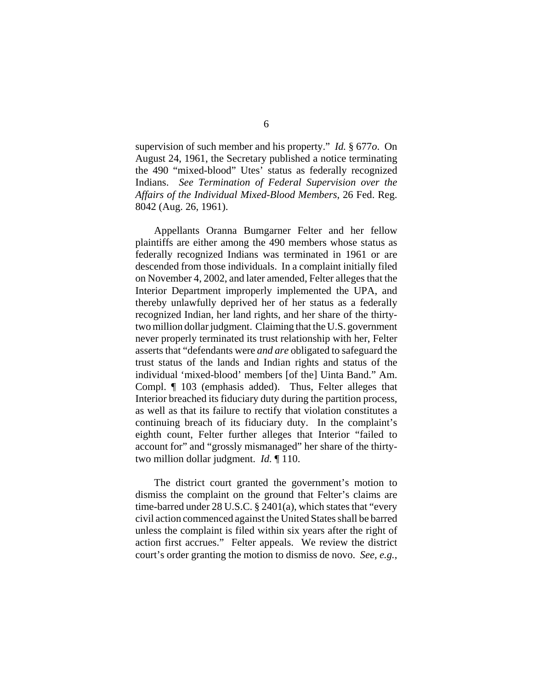supervision of such member and his property." *Id.* § 677*o*. On August 24, 1961, the Secretary published a notice terminating the 490 "mixed-blood" Utes' status as federally recognized Indians. *See Termination of Federal Supervision over the Affairs of the Individual Mixed-Blood Members*, 26 Fed. Reg. 8042 (Aug. 26, 1961).

Appellants Oranna Bumgarner Felter and her fellow plaintiffs are either among the 490 members whose status as federally recognized Indians was terminated in 1961 or are descended from those individuals. In a complaint initially filed on November 4, 2002, and later amended, Felter alleges that the Interior Department improperly implemented the UPA, and thereby unlawfully deprived her of her status as a federally recognized Indian, her land rights, and her share of the thirtytwo million dollar judgment. Claiming that the U.S. government never properly terminated its trust relationship with her, Felter asserts that "defendants were *and are* obligated to safeguard the trust status of the lands and Indian rights and status of the individual 'mixed-blood' members [of the] Uinta Band." Am. Compl. ¶ 103 (emphasis added). Thus, Felter alleges that Interior breached its fiduciary duty during the partition process, as well as that its failure to rectify that violation constitutes a continuing breach of its fiduciary duty. In the complaint's eighth count, Felter further alleges that Interior "failed to account for" and "grossly mismanaged" her share of the thirtytwo million dollar judgment. *Id.* ¶ 110.

The district court granted the government's motion to dismiss the complaint on the ground that Felter's claims are time-barred under 28 U.S.C. § 2401(a), which states that "every civil action commenced against the United States shall be barred unless the complaint is filed within six years after the right of action first accrues." Felter appeals. We review the district court's order granting the motion to dismiss de novo. *See, e.g.*,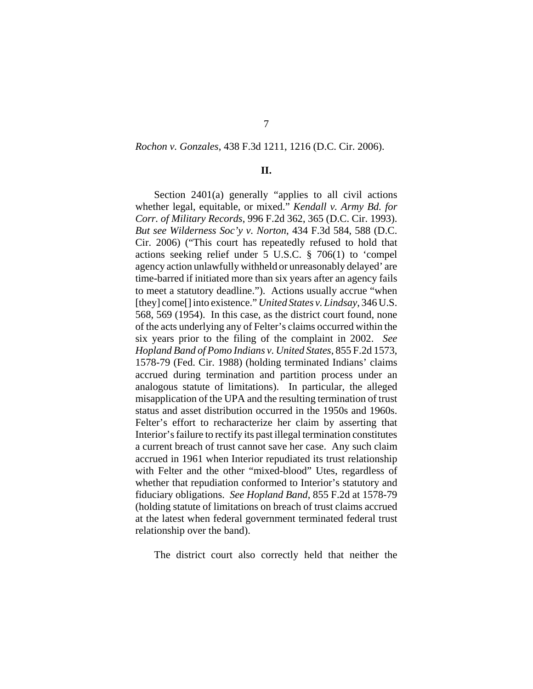#### *Rochon v. Gonzales*, 438 F.3d 1211, 1216 (D.C. Cir. 2006).

### **II.**

Section 2401(a) generally "applies to all civil actions whether legal, equitable, or mixed." *Kendall v. Army Bd. for Corr. of Military Records*, 996 F.2d 362, 365 (D.C. Cir. 1993). *But see Wilderness Soc'y v. Norton*, 434 F.3d 584, 588 (D.C. Cir. 2006) ("This court has repeatedly refused to hold that actions seeking relief under 5 U.S.C. § 706(1) to 'compel agency action unlawfully withheld or unreasonably delayed' are time-barred if initiated more than six years after an agency fails to meet a statutory deadline."). Actions usually accrue "when [they] come[] into existence." *United States v. Lindsay*, 346 U.S. 568, 569 (1954). In this case, as the district court found, none of the acts underlying any of Felter's claims occurred within the six years prior to the filing of the complaint in 2002. *See Hopland Band of Pomo Indians v. United States*, 855 F.2d 1573, 1578-79 (Fed. Cir. 1988) (holding terminated Indians' claims accrued during termination and partition process under an analogous statute of limitations). In particular, the alleged misapplication of the UPA and the resulting termination of trust status and asset distribution occurred in the 1950s and 1960s. Felter's effort to recharacterize her claim by asserting that Interior's failure to rectify its past illegal termination constitutes a current breach of trust cannot save her case. Any such claim accrued in 1961 when Interior repudiated its trust relationship with Felter and the other "mixed-blood" Utes, regardless of whether that repudiation conformed to Interior's statutory and fiduciary obligations. *See Hopland Band*, 855 F.2d at 1578-79 (holding statute of limitations on breach of trust claims accrued at the latest when federal government terminated federal trust relationship over the band).

The district court also correctly held that neither the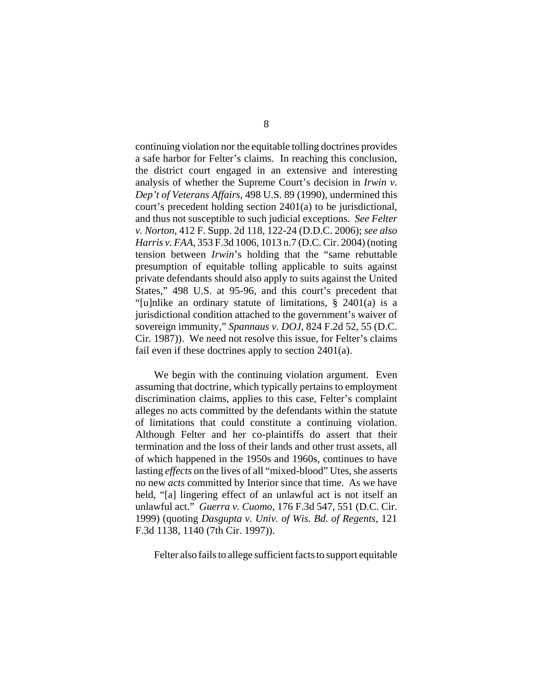continuing violation nor the equitable tolling doctrines provides a safe harbor for Felter's claims. In reaching this conclusion, the district court engaged in an extensive and interesting analysis of whether the Supreme Court's decision in *Irwin v. Dep't of Veterans Affairs*, 498 U.S. 89 (1990), undermined this court's precedent holding section 2401(a) to be jurisdictional, and thus not susceptible to such judicial exceptions. *See Felter v. Norton*, 412 F. Supp. 2d 118, 122-24 (D.D.C. 2006); *see also Harris v. FAA*, 353 F.3d 1006, 1013 n.7 (D.C. Cir. 2004) (noting tension between *Irwin*'s holding that the "same rebuttable presumption of equitable tolling applicable to suits against private defendants should also apply to suits against the United States," 498 U.S. at 95-96, and this court's precedent that "[u]nlike an ordinary statute of limitations, § 2401(a) is a jurisdictional condition attached to the government's waiver of sovereign immunity," *Spannaus v. DOJ*, 824 F.2d 52, 55 (D.C. Cir. 1987)). We need not resolve this issue, for Felter's claims fail even if these doctrines apply to section 2401(a).

We begin with the continuing violation argument. Even assuming that doctrine, which typically pertains to employment discrimination claims, applies to this case, Felter's complaint alleges no acts committed by the defendants within the statute of limitations that could constitute a continuing violation. Although Felter and her co-plaintiffs do assert that their termination and the loss of their lands and other trust assets, all of which happened in the 1950s and 1960s, continues to have lasting *effects* on the lives of all "mixed-blood" Utes, she asserts no new *acts* committed by Interior since that time. As we have held, "[a] lingering effect of an unlawful act is not itself an unlawful act." *Guerra v. Cuomo*, 176 F.3d 547, 551 (D.C. Cir. 1999) (quoting *Dasgupta v. Univ. of Wis. Bd. of Regents*, 121 F.3d 1138, 1140 (7th Cir. 1997)).

Felter also fails to allege sufficient facts to support equitable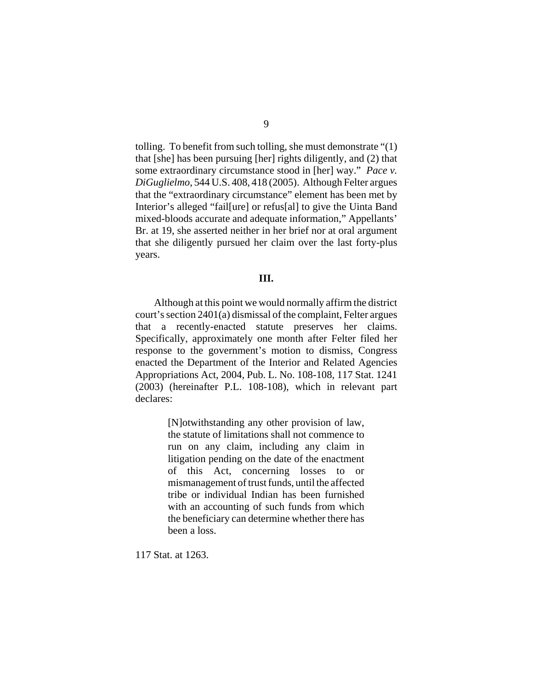tolling. To benefit from such tolling, she must demonstrate "(1) that [she] has been pursuing [her] rights diligently, and (2) that some extraordinary circumstance stood in [her] way." *Pace v. DiGuglielmo*, 544 U.S. 408, 418 (2005). Although Felter argues that the "extraordinary circumstance" element has been met by Interior's alleged "fail[ure] or refus[al] to give the Uinta Band mixed-bloods accurate and adequate information," Appellants' Br. at 19, she asserted neither in her brief nor at oral argument that she diligently pursued her claim over the last forty-plus years.

## **III.**

Although at this point we would normally affirm the district court's section 2401(a) dismissal of the complaint, Felter argues that a recently-enacted statute preserves her claims. Specifically, approximately one month after Felter filed her response to the government's motion to dismiss, Congress enacted the Department of the Interior and Related Agencies Appropriations Act, 2004, Pub. L. No. 108-108, 117 Stat. 1241 (2003) (hereinafter P.L. 108-108), which in relevant part declares:

> [N]otwithstanding any other provision of law, the statute of limitations shall not commence to run on any claim, including any claim in litigation pending on the date of the enactment of this Act, concerning losses to or mismanagement of trust funds, until the affected tribe or individual Indian has been furnished with an accounting of such funds from which the beneficiary can determine whether there has been a loss.

117 Stat. at 1263.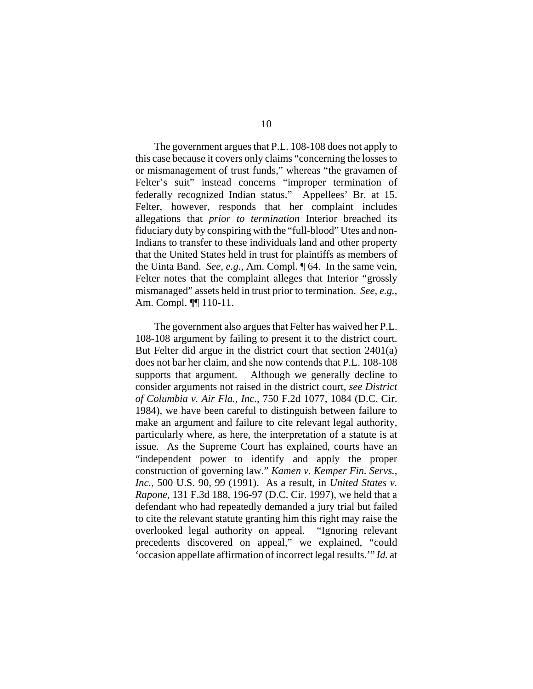The government argues that P.L. 108-108 does not apply to this case because it covers only claims "concerning the losses to or mismanagement of trust funds," whereas "the gravamen of Felter's suit" instead concerns "improper termination of federally recognized Indian status." Appellees' Br. at 15. Felter, however, responds that her complaint includes allegations that *prior to termination* Interior breached its fiduciary duty by conspiring with the "full-blood" Utes and non-Indians to transfer to these individuals land and other property that the United States held in trust for plaintiffs as members of the Uinta Band. *See, e.g.*, Am. Compl. ¶ 64. In the same vein, Felter notes that the complaint alleges that Interior "grossly mismanaged" assets held in trust prior to termination. *See, e.g.*, Am. Compl. ¶¶ 110-11.

The government also argues that Felter has waived her P.L. 108-108 argument by failing to present it to the district court. But Felter did argue in the district court that section 2401(a) does not bar her claim, and she now contends that P.L. 108-108 supports that argument. Although we generally decline to consider arguments not raised in the district court, *see District of Columbia v. Air Fla., Inc.*, 750 F.2d 1077, 1084 (D.C. Cir. 1984), we have been careful to distinguish between failure to make an argument and failure to cite relevant legal authority, particularly where, as here, the interpretation of a statute is at issue. As the Supreme Court has explained, courts have an "independent power to identify and apply the proper construction of governing law." *Kamen v. Kemper Fin. Servs., Inc.*, 500 U.S. 90, 99 (1991). As a result, in *United States v. Rapone*, 131 F.3d 188, 196-97 (D.C. Cir. 1997), we held that a defendant who had repeatedly demanded a jury trial but failed to cite the relevant statute granting him this right may raise the overlooked legal authority on appeal. "Ignoring relevant precedents discovered on appeal," we explained, "could 'occasion appellate affirmation of incorrect legal results.'" *Id.* at